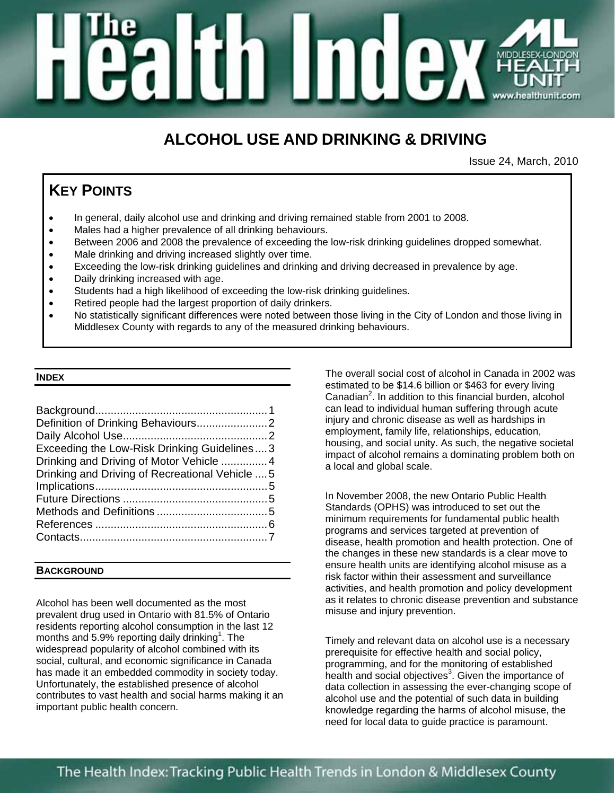# ili (\*) MIDD<br>HI

## **ALCOHOL USE AND DRINKING & DRIVING**

Issue 24, March, 2010

### **KEY POINTS**

- In general, daily alcohol use and drinking and driving remained stable from 2001 to 2008.
- Males had a higher prevalence of all drinking behaviours.
- Between 2006 and 2008 the prevalence of exceeding the low-risk drinking guidelines dropped somewhat.
- Male drinking and driving increased slightly over time.
- Exceeding the low-risk drinking guidelines and drinking and driving decreased in prevalence by age.
- Daily drinking increased with age.
- Students had a high likelihood of exceeding the low-risk drinking guidelines.
- Retired people had the largest proportion of daily drinkers.
- No statistically significant differences were noted between those living in the City of London and those living in Middlesex County with regards to any of the measured drinking behaviours.

#### **INDEX**

| Exceeding the Low-Risk Drinking Guidelines3     |  |
|-------------------------------------------------|--|
| Drinking and Driving of Motor Vehicle 4         |  |
| Drinking and Driving of Recreational Vehicle  5 |  |
|                                                 |  |
|                                                 |  |
|                                                 |  |
|                                                 |  |
|                                                 |  |
|                                                 |  |

#### **BACKGROUND**

Alcohol has been well documented as the most prevalent drug used in Ontario with 81.5% of Ontario residents reporting alcohol consumption in the last 12 months and 5.9% reporting daily drinking<sup>1</sup>. The widespread popularity of alcohol combined with its social, cultural, and economic significance in Canada has made it an embedded commodity in society today. Unfortunately, the established presence of alcohol contributes to vast health and social harms making it an important public health concern.

The overall social cost of alcohol in Canada in 2002 was estimated to be \$14.6 billion or \$463 for every living Canadian<sup>2</sup>. In addition to this financial burden, alcohol can lead to individual human suffering through acute injury and chronic disease as well as hardships in employment, family life, relationships, education, housing, and social unity. As such, the negative societal impact of alcohol remains a dominating problem both on a local and global scale.

In November 2008, the new Ontario Public Health Standards (OPHS) was introduced to set out the minimum requirements for fundamental public health programs and services targeted at prevention of disease, health promotion and health protection. One of the changes in these new standards is a clear move to ensure health units are identifying alcohol misuse as a risk factor within their assessment and surveillance activities, and health promotion and policy development as it relates to chronic disease prevention and substance misuse and injury prevention.

Timely and relevant data on alcohol use is a necessary prerequisite for effective health and social policy, programming, and for the monitoring of established health and social objectives<sup>3</sup>. Given the importance of data collection in assessing the ever-changing scope of alcohol use and the potential of such data in building knowledge regarding the harms of alcohol misuse, the need for local data to guide practice is paramount.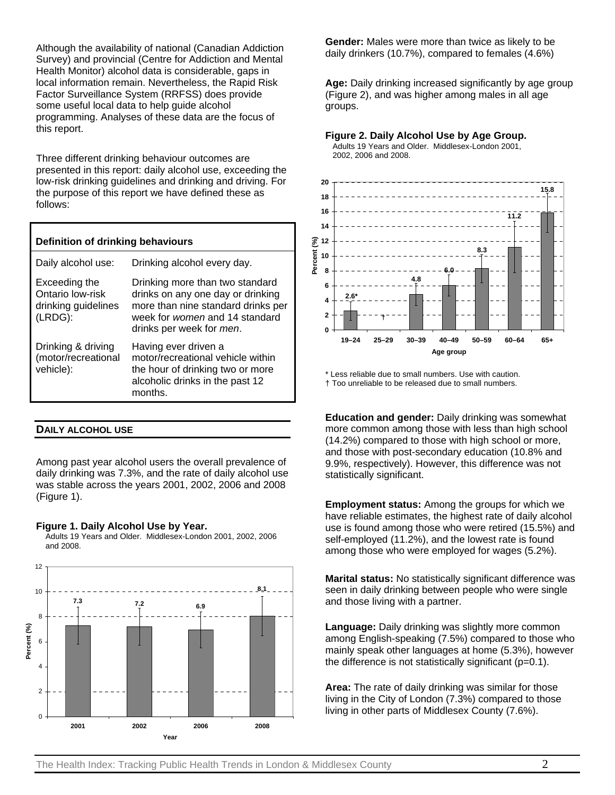Although the availability of national (Canadian Addiction Survey) and provincial (Centre for Addiction and Mental Health Monitor) alcohol data is considerable, gaps in local information remain. Nevertheless, the Rapid Risk Factor Surveillance System (RRFSS) does provide some useful local data to help guide alcohol programming. Analyses of these data are the focus of this report.

Three different drinking behaviour outcomes are presented in this report: daily alcohol use, exceeding the low-risk drinking guidelines and drinking and driving. For the purpose of this report we have defined these as follows:

| Definition of drinking behaviours                                   |                                                                                                                                                                          |  |
|---------------------------------------------------------------------|--------------------------------------------------------------------------------------------------------------------------------------------------------------------------|--|
| Daily alcohol use:                                                  | Drinking alcohol every day.                                                                                                                                              |  |
| Exceeding the<br>Ontario low-risk<br>drinking guidelines<br>(LRDG): | Drinking more than two standard<br>drinks on any one day or drinking<br>more than nine standard drinks per<br>week for women and 14 standard<br>drinks per week for men. |  |
| Drinking & driving<br>(motor/recreational<br>vehicle):              | Having ever driven a<br>motor/recreational vehicle within<br>the hour of drinking two or more<br>alcoholic drinks in the past 12<br>months.                              |  |
|                                                                     |                                                                                                                                                                          |  |

#### **DAILY ALCOHOL USE**

Among past year alcohol users the overall prevalence of daily drinking was 7.3%, and the rate of daily alcohol use was stable across the years 2001, 2002, 2006 and 2008 (Figure 1).

#### **Figure 1. Daily Alcohol Use by Year.**

Adults 19 Years and Older. Middlesex-London 2001, 2002, 2006 and 2008.



**Gender:** Males were more than twice as likely to be daily drinkers (10.7%), compared to females (4.6%)

**Age:** Daily drinking increased significantly by age group (Figure 2), and was higher among males in all age groups.

#### **Figure 2. Daily Alcohol Use by Age Group.**

Adults 19 Years and Older. Middlesex-London 2001, 2002, 2006 and 2008.



\* Less reliable due to small numbers. Use with caution. † Too unreliable to be released due to small numbers.

**Education and gender:** Daily drinking was somewhat more common among those with less than high school (14.2%) compared to those with high school or more, and those with post-secondary education (10.8% and 9.9%, respectively). However, this difference was not statistically significant.

**Employment status:** Among the groups for which we have reliable estimates, the highest rate of daily alcohol use is found among those who were retired (15.5%) and self-employed (11.2%), and the lowest rate is found among those who were employed for wages (5.2%).

**Marital status:** No statistically significant difference was seen in daily drinking between people who were single and those living with a partner.

**Language:** Daily drinking was slightly more common among English-speaking (7.5%) compared to those who mainly speak other languages at home (5.3%), however the difference is not statistically significant  $(p=0.1)$ .

**Area:** The rate of daily drinking was similar for those living in the City of London (7.3%) compared to those living in other parts of Middlesex County (7.6%).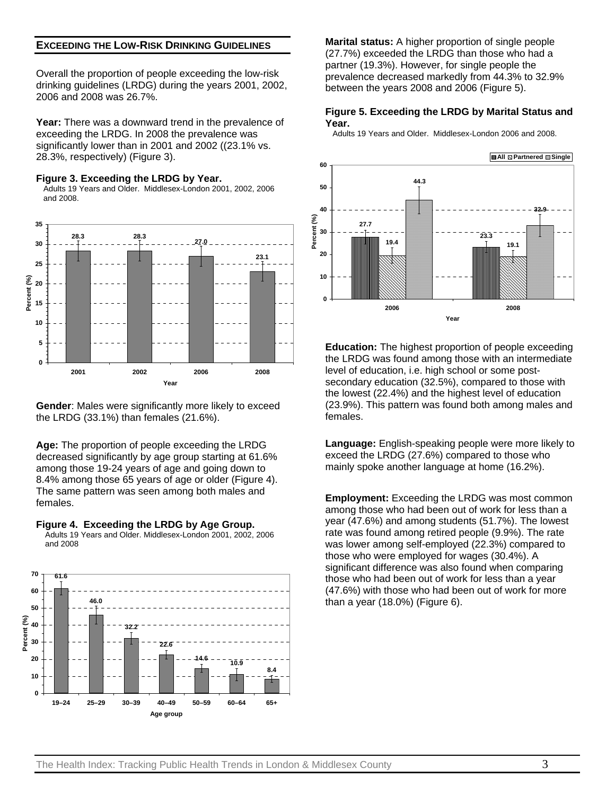#### **EXCEEDING THE LOW-RISK DRINKING GUIDELINES**

Overall the proportion of people exceeding the low-risk drinking guidelines (LRDG) during the years 2001, 2002, 2006 and 2008 was 26.7%.

**Year:** There was a downward trend in the prevalence of exceeding the LRDG. In 2008 the prevalence was significantly lower than in 2001 and 2002 ((23.1% vs. 28.3%, respectively) (Figure 3).

#### **Figure 3. Exceeding the LRDG by Year.**

Adults 19 Years and Older. Middlesex-London 2001, 2002, 2006 and 2008.



**Gender**: Males were significantly more likely to exceed the LRDG (33.1%) than females (21.6%).

**Age:** The proportion of people exceeding the LRDG decreased significantly by age group starting at 61.6% among those 19-24 years of age and going down to 8.4% among those 65 years of age or older (Figure 4). The same pattern was seen among both males and females.





**Marital status:** A higher proportion of single people (27.7%) exceeded the LRDG than those who had a partner (19.3%). However, for single people the prevalence decreased markedly from 44.3% to 32.9% between the years 2008 and 2006 (Figure 5).

#### **Figure 5. Exceeding the LRDG by Marital Status and Year.**

Adults 19 Years and Older. Middlesex-London 2006 and 2008.



**Education:** The highest proportion of people exceeding the LRDG was found among those with an intermediate level of education, i.e. high school or some postsecondary education (32.5%), compared to those with the lowest (22.4%) and the highest level of education (23.9%). This pattern was found both among males and females.

**Language:** English-speaking people were more likely to exceed the LRDG (27.6%) compared to those who mainly spoke another language at home (16.2%).

**Employment:** Exceeding the LRDG was most common among those who had been out of work for less than a year (47.6%) and among students (51.7%). The lowest rate was found among retired people (9.9%). The rate was lower among self-employed (22.3%) compared to those who were employed for wages (30.4%). A significant difference was also found when comparing those who had been out of work for less than a year (47.6%) with those who had been out of work for more than a year (18.0%) (Figure 6).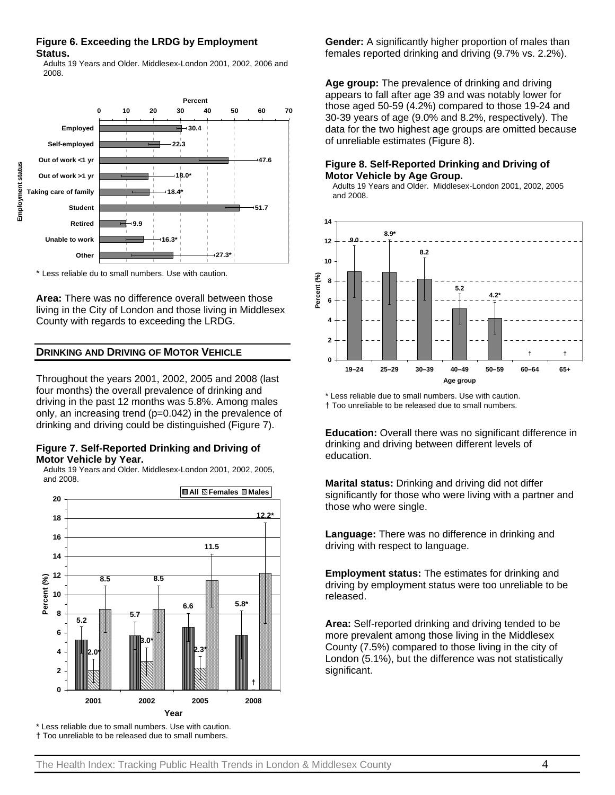#### **Figure 6. Exceeding the LRDG by Employment Status.**

Adults 19 Years and Older. Middlesex-London 2001, 2002, 2006 and 2008.



\* Less reliable du to small numbers. Use with caution.

**Area:** There was no difference overall between those living in the City of London and those living in Middlesex County with regards to exceeding the LRDG.

#### **DRINKING AND DRIVING OF MOTOR VEHICLE**

Throughout the years 2001, 2002, 2005 and 2008 (last four months) the overall prevalence of drinking and driving in the past 12 months was 5.8%. Among males only, an increasing trend (p=0.042) in the prevalence of drinking and driving could be distinguished (Figure 7).

#### **Figure 7. Self-Reported Drinking and Driving of Motor Vehicle by Year.**

Adults 19 Years and Older. Middlesex-London 2001, 2002, 2005, and 2008.



\* Less reliable due to small numbers. Use with caution.

† Too unreliable to be released due to small numbers.

**Gender:** A significantly higher proportion of males than females reported drinking and driving (9.7% vs. 2.2%).

**Age group:** The prevalence of drinking and driving appears to fall after age 39 and was notably lower for those aged 50-59 (4.2%) compared to those 19-24 and 30-39 years of age (9.0% and 8.2%, respectively). The data for the two highest age groups are omitted because of unreliable estimates (Figure 8).

#### **Figure 8. Self-Reported Drinking and Driving of Motor Vehicle by Age Group.**

Adults 19 Years and Older. Middlesex-London 2001, 2002, 2005 and 2008.



\* Less reliable due to small numbers. Use with caution. † Too unreliable to be released due to small numbers.

**Education:** Overall there was no significant difference in drinking and driving between different levels of education.

**Marital status:** Drinking and driving did not differ significantly for those who were living with a partner and those who were single.

**Language:** There was no difference in drinking and driving with respect to language.

**Employment status:** The estimates for drinking and driving by employment status were too unreliable to be released.

**Area:** Self-reported drinking and driving tended to be more prevalent among those living in the Middlesex County (7.5%) compared to those living in the city of London (5.1%), but the difference was not statistically significant.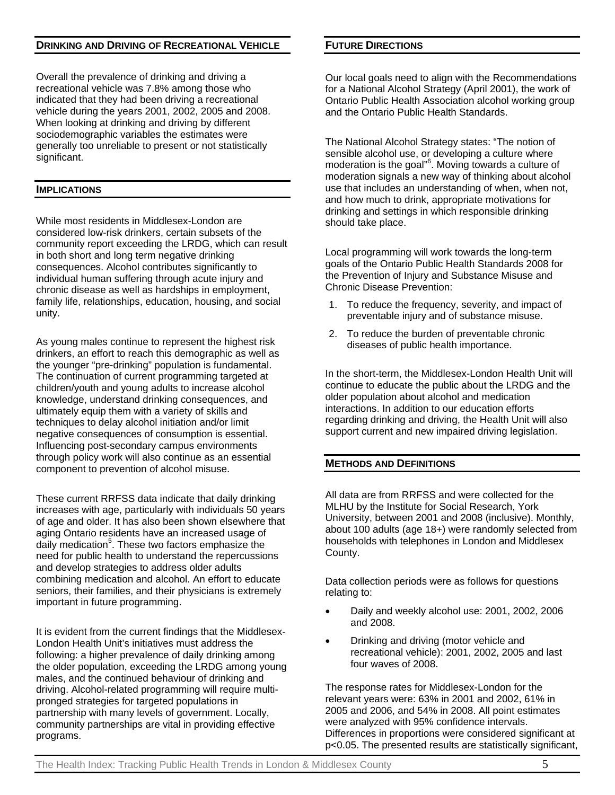#### **DRINKING AND DRIVING OF RECREATIONAL VEHICLE**

Overall the prevalence of drinking and driving a recreational vehicle was 7.8% among those who indicated that they had been driving a recreational vehicle during the years 2001, 2002, 2005 and 2008. When looking at drinking and driving by different sociodemographic variables the estimates were generally too unreliable to present or not statistically significant.

#### **IMPLICATIONS**

While most residents in Middlesex-London are considered low-risk drinkers, certain subsets of the community report exceeding the LRDG, which can result in both short and long term negative drinking consequences. Alcohol contributes significantly to individual human suffering through acute injury and chronic disease as well as hardships in employment, family life, relationships, education, housing, and social unity.

As young males continue to represent the highest risk drinkers, an effort to reach this demographic as well as the younger "pre-drinking" population is fundamental. The continuation of current programming targeted at children/youth and young adults to increase alcohol knowledge, understand drinking consequences, and ultimately equip them with a variety of skills and techniques to delay alcohol initiation and/or limit negative consequences of consumption is essential. Influencing post-secondary campus environments through policy work will also continue as an essential component to prevention of alcohol misuse.

These current RRFSS data indicate that daily drinking increases with age, particularly with individuals 50 years of age and older. It has also been shown elsewhere that aging Ontario residents have an increased usage of daily medication<sup>5</sup>. These two factors emphasize the need for public health to understand the repercussions and develop strategies to address older adults combining medication and alcohol. An effort to educate seniors, their families, and their physicians is extremely important in future programming.

It is evident from the current findings that the Middlesex-London Health Unit's initiatives must address the following: a higher prevalence of daily drinking among the older population, exceeding the LRDG among young males, and the continued behaviour of drinking and driving. Alcohol-related programming will require multipronged strategies for targeted populations in partnership with many levels of government. Locally, community partnerships are vital in providing effective programs.

#### **FUTURE DIRECTIONS**

Our local goals need to align with the Recommendations for a National Alcohol Strategy (April 2001), the work of Ontario Public Health Association alcohol working group and the Ontario Public Health Standards.

The National Alcohol Strategy states: "The notion of sensible alcohol use, or developing a culture where moderation is the goal"<sup>6</sup>. Moving towards a culture of moderation signals a new way of thinking about alcohol use that includes an understanding of when, when not, and how much to drink, appropriate motivations for drinking and settings in which responsible drinking should take place.

Local programming will work towards the long-term goals of the Ontario Public Health Standards 2008 for the Prevention of Injury and Substance Misuse and Chronic Disease Prevention:

- 1. To reduce the frequency, severity, and impact of preventable injury and of substance misuse.
- 2. To reduce the burden of preventable chronic diseases of public health importance.

In the short-term, the Middlesex-London Health Unit will continue to educate the public about the LRDG and the older population about alcohol and medication interactions. In addition to our education efforts regarding drinking and driving, the Health Unit will also support current and new impaired driving legislation.

#### **METHODS AND DEFINITIONS**

All data are from RRFSS and were collected for the MLHU by the Institute for Social Research, York University, between 2001 and 2008 (inclusive). Monthly, about 100 adults (age 18+) were randomly selected from households with telephones in London and Middlesex County.

Data collection periods were as follows for questions relating to:

- Daily and weekly alcohol use: 2001, 2002, 2006 and 2008.
- Drinking and driving (motor vehicle and recreational vehicle): 2001, 2002, 2005 and last four waves of 2008.

The response rates for Middlesex-London for the relevant years were: 63% in 2001 and 2002, 61% in 2005 and 2006, and 54% in 2008. All point estimates were analyzed with 95% confidence intervals. Differences in proportions were considered significant at p<0.05. The presented results are statistically significant,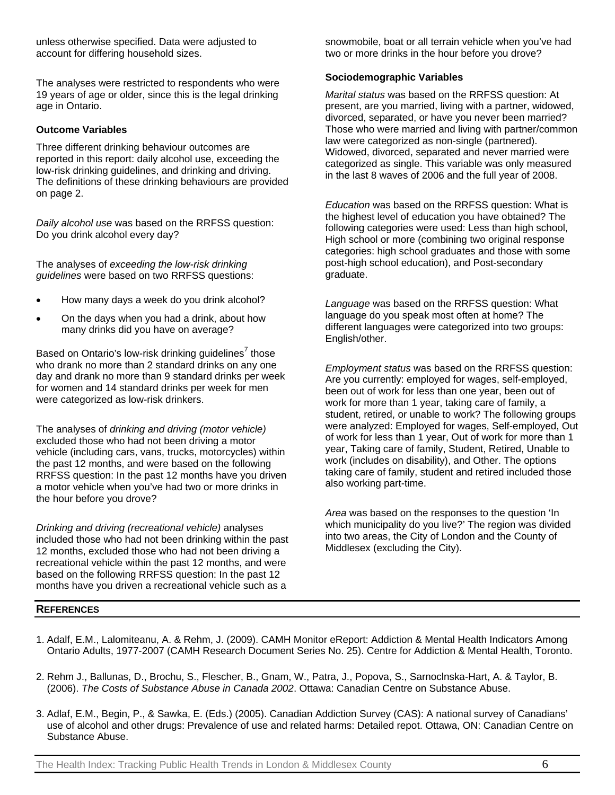unless otherwise specified. Data were adjusted to account for differing household sizes.

The analyses were restricted to respondents who were 19 years of age or older, since this is the legal drinking age in Ontario.

#### **Outcome Variables**

Three different drinking behaviour outcomes are reported in this report: daily alcohol use, exceeding the low-risk drinking guidelines, and drinking and driving. The definitions of these drinking behaviours are provided on page 2.

*Daily alcohol use* was based on the RRFSS question: Do you drink alcohol every day?

The analyses of *exceeding the low-risk drinking guidelines* were based on two RRFSS questions:

- How many days a week do you drink alcohol?
- On the days when you had a drink, about how many drinks did you have on average?

Based on Ontario's low-risk drinking guidelines $7$  those who drank no more than 2 standard drinks on any one day and drank no more than 9 standard drinks per week for women and 14 standard drinks per week for men were categorized as low-risk drinkers.

The analyses of *drinking and driving (motor vehicle)* excluded those who had not been driving a motor vehicle (including cars, vans, trucks, motorcycles) within the past 12 months, and were based on the following RRFSS question: In the past 12 months have you driven a motor vehicle when you've had two or more drinks in the hour before you drove?

*Drinking and driving (recreational vehicle)* analyses included those who had not been drinking within the past 12 months, excluded those who had not been driving a recreational vehicle within the past 12 months, and were based on the following RRFSS question: In the past 12 months have you driven a recreational vehicle such as a

snowmobile, boat or all terrain vehicle when you've had two or more drinks in the hour before you drove?

#### **Sociodemographic Variables**

*Marital status* was based on the RRFSS question: At present, are you married, living with a partner, widowed, divorced, separated, or have you never been married? Those who were married and living with partner/common law were categorized as non-single (partnered). Widowed, divorced, separated and never married were categorized as single. This variable was only measured in the last 8 waves of 2006 and the full year of 2008.

*Education* was based on the RRFSS question: What is the highest level of education you have obtained? The following categories were used: Less than high school, High school or more (combining two original response categories: high school graduates and those with some post-high school education), and Post-secondary graduate.

*Language* was based on the RRFSS question: What language do you speak most often at home? The different languages were categorized into two groups: English/other.

*Employment status* was based on the RRFSS question: Are you currently: employed for wages, self-employed, been out of work for less than one year, been out of work for more than 1 year, taking care of family, a student, retired, or unable to work? The following groups were analyzed: Employed for wages, Self-employed, Out of work for less than 1 year, Out of work for more than 1 year, Taking care of family, Student, Retired, Unable to work (includes on disability), and Other. The options taking care of family, student and retired included those also working part-time.

*Area* was based on the responses to the question 'In which municipality do you live?' The region was divided into two areas, the City of London and the County of Middlesex (excluding the City).

#### **REFERENCES**

- 1. Adalf, E.M., Lalomiteanu, A. & Rehm, J. (2009). CAMH Monitor eReport: Addiction & Mental Health Indicators Among Ontario Adults, 1977-2007 (CAMH Research Document Series No. 25). Centre for Addiction & Mental Health, Toronto.
- 2. Rehm J., Ballunas, D., Brochu, S., Flescher, B., Gnam, W., Patra, J., Popova, S., Sarnoclnska-Hart, A. & Taylor, B. (2006). *The Costs of Substance Abuse in Canada 2002*. Ottawa: Canadian Centre on Substance Abuse.
- 3. Adlaf, E.M., Begin, P., & Sawka, E. (Eds.) (2005). Canadian Addiction Survey (CAS): A national survey of Canadians' use of alcohol and other drugs: Prevalence of use and related harms: Detailed repot. Ottawa, ON: Canadian Centre on Substance Abuse.

The Health Index: Tracking Public Health Trends in London & Middlesex County  $6\,$